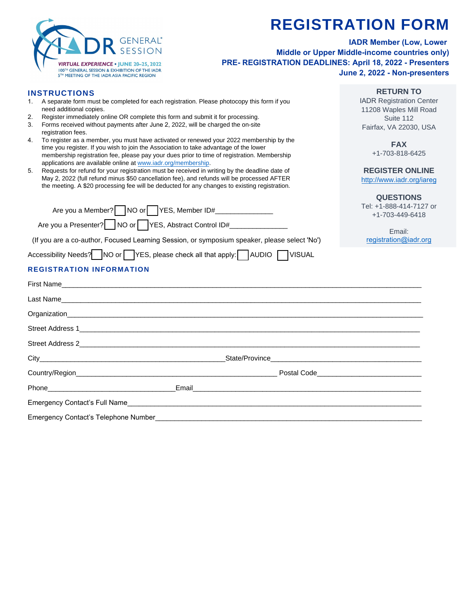

Emergency Contact's Telephone Number

## **REGISTRATION FORM**

**RETURN TO**  IADR Registration Center 11208 Waples Mill Road Suite 112 Fairfax, VA 22030, USA

> **FAX**  +1-703-818-6425

**REGISTER ONLINE**  http://www.iadr.org/iareg

**IADR Member (Low, Lower Middle or Upper Middle-income countries only) PRE- REGISTRATION DEADLINES: April 18, 2022 - Presenters June 2, 2022 - Non-presenters**

## **INSTRUCTIONS**

- 1. A separate form must be completed for each registration. Please photocopy this form if you need additional copies.
- 2. Register immediately online OR complete this form and submit it for processing.
- 3. Forms received without payments after June 2, 2022, will be charged the on-site registration fees.
- 4. To register as a member, you must have activated or renewed your 2022 membership by the time you register. If you wish to join the Association to take advantage of the lower membership registration fee, please pay your dues prior to time of registration. Membership applications are available online at [www.iadr.org/membership.](http://www.iadr.org/membership)
- 5. Requests for refund for your registration must be received in writing by the deadline date of May 2, 2022 (full refund minus \$50 cancellation fee), and refunds will be processed AFTER the meeting. A \$20 processing fee will be deducted for any changes to existing registration.

Emergency Contact's Full Name\_\_\_\_\_\_\_\_\_\_\_\_\_\_\_\_\_\_\_\_\_\_\_\_\_\_\_\_\_\_\_\_\_\_\_\_\_\_\_\_\_\_\_\_\_\_\_\_\_\_\_\_\_\_\_\_\_\_\_\_\_\_\_\_\_\_\_\_\_\_\_\_\_\_\_\_

| Are you a Member? NO or   YES, Member ID#<br>Are you a Presenter?     NO or   YES, Abstract Control ID# | (If you are a co-author, Focused Learning Session, or symposium speaker, please select 'No') | <b>QUESTIONS</b><br>Tel: +1-888-414-7127 or<br>+1-703-449-6418<br>Email:<br>registration@iadr.org |
|---------------------------------------------------------------------------------------------------------|----------------------------------------------------------------------------------------------|---------------------------------------------------------------------------------------------------|
| Accessibility Needs? NO or YES, please check all that apply: AUDIO VISUAL                               |                                                                                              |                                                                                                   |
| <b>REGISTRATION INFORMATION</b>                                                                         |                                                                                              |                                                                                                   |
|                                                                                                         |                                                                                              |                                                                                                   |
|                                                                                                         | Last Name                                                                                    |                                                                                                   |
|                                                                                                         |                                                                                              |                                                                                                   |
|                                                                                                         |                                                                                              |                                                                                                   |
|                                                                                                         |                                                                                              |                                                                                                   |
|                                                                                                         |                                                                                              |                                                                                                   |
|                                                                                                         |                                                                                              |                                                                                                   |
|                                                                                                         | Email                                                                                        |                                                                                                   |